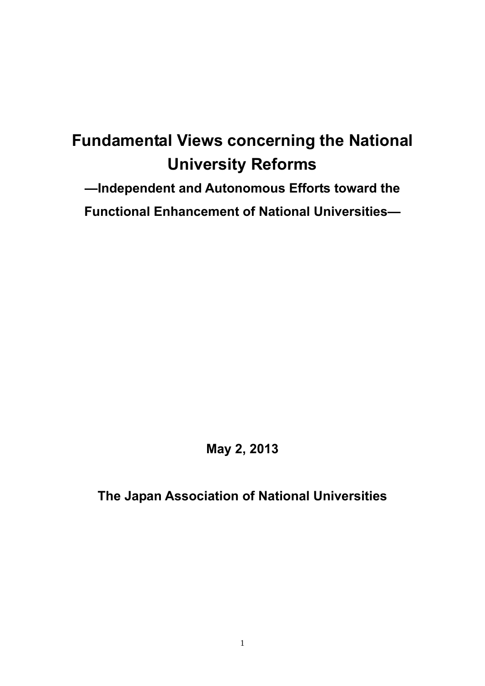# **Fundamental Views concerning the National University Reforms**

**—Independent and Autonomous Efforts toward the Functional Enhancement of National Universities—** 

**May 2, 2013** 

**The Japan Association of National Universities**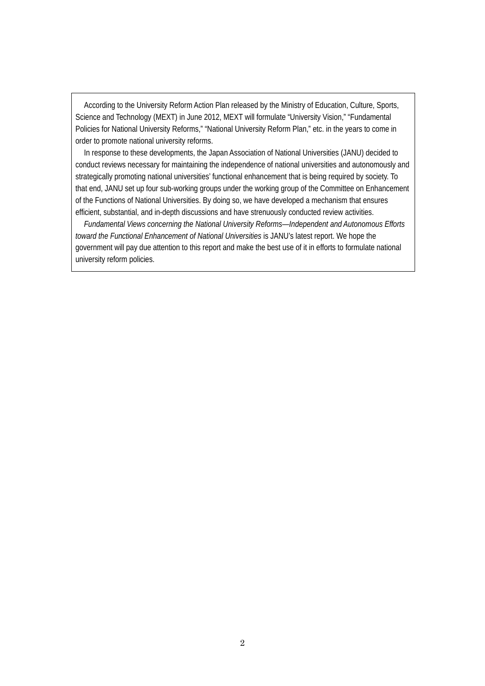According to the University Reform Action Plan released by the Ministry of Education, Culture, Sports, Science and Technology (MEXT) in June 2012, MEXT will formulate "University Vision," "Fundamental Policies for National University Reforms," "National University Reform Plan," etc. in the years to come in order to promote national university reforms.

In response to these developments, the Japan Association of National Universities (JANU) decided to conduct reviews necessary for maintaining the independence of national universities and autonomously and strategically promoting national universities' functional enhancement that is being required by society. To that end, JANU set up four sub-working groups under the working group of the Committee on Enhancement of the Functions of National Universities. By doing so, we have developed a mechanism that ensures efficient, substantial, and in-depth discussions and have strenuously conducted review activities.

*Fundamental Views concerning the National University Reforms—Independent and Autonomous Efforts toward the Functional Enhancement of National Universities* is JANU's latest report. We hope the government will pay due attention to this report and make the best use of it in efforts to formulate national university reform policies.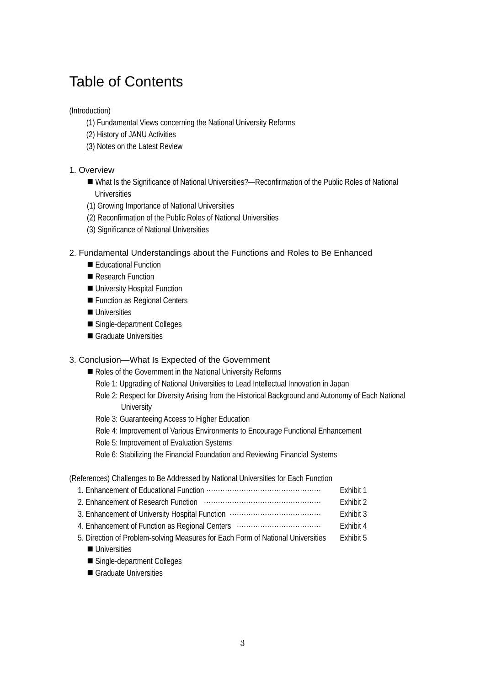# Table of Contents

## (Introduction)

- (1) Fundamental Views concerning the National University Reforms
- (2) History of JANU Activities
- (3) Notes on the Latest Review

## 1. Overview

- What Is the Significance of National Universities?—Reconfirmation of the Public Roles of National Universities
- (1) Growing Importance of National Universities
- (2) Reconfirmation of the Public Roles of National Universities
- (3) Significance of National Universities

## 2. Fundamental Understandings about the Functions and Roles to Be Enhanced

- Educational Function
- Research Function
- University Hospital Function
- **Function as Regional Centers**
- **Universities**
- Single-department Colleges
- Graduate Universities

## 3. Conclusion—What Is Expected of the Government

- Roles of the Government in the National University Reforms
	- Role 1: Upgrading of National Universities to Lead Intellectual Innovation in Japan
	- Role 2: Respect for Diversity Arising from the Historical Background and Autonomy of Each National **University**
	- Role 3: Guaranteeing Access to Higher Education
	- Role 4: Improvement of Various Environments to Encourage Functional Enhancement
	- Role 5: Improvement of Evaluation Systems
	- Role 6: Stabilizing the Financial Foundation and Reviewing Financial Systems

(References) Challenges to Be Addressed by National Universities for Each Function

|                                                                                 | Exhibit 1 |
|---------------------------------------------------------------------------------|-----------|
|                                                                                 | Exhibit 2 |
|                                                                                 | Exhibit 3 |
| 4. Enhancement of Function as Regional Centers                                  | Fxhibit 4 |
| 5. Direction of Problem-solving Measures for Each Form of National Universities | Fxhibit 5 |
| Il Iniversities                                                                 |           |

- Single-department Colleges
- Graduate Universities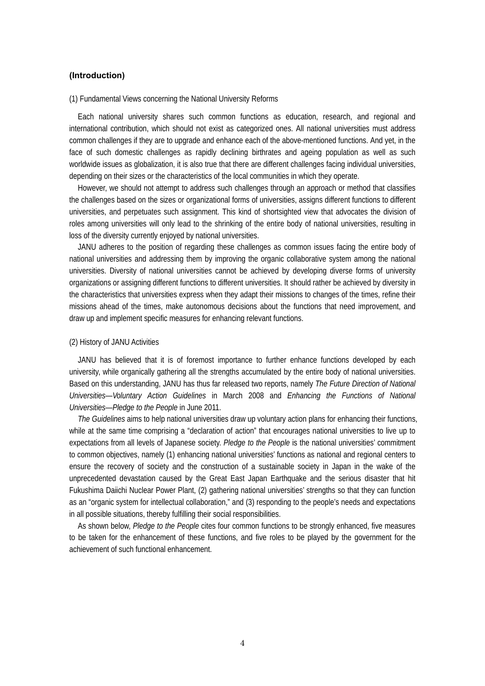## **(Introduction)**

#### (1) Fundamental Views concerning the National University Reforms

Each national university shares such common functions as education, research, and regional and international contribution, which should not exist as categorized ones. All national universities must address common challenges if they are to upgrade and enhance each of the above-mentioned functions. And yet, in the face of such domestic challenges as rapidly declining birthrates and ageing population as well as such worldwide issues as globalization, it is also true that there are different challenges facing individual universities, depending on their sizes or the characteristics of the local communities in which they operate.

However, we should not attempt to address such challenges through an approach or method that classifies the challenges based on the sizes or organizational forms of universities, assigns different functions to different universities, and perpetuates such assignment. This kind of shortsighted view that advocates the division of roles among universities will only lead to the shrinking of the entire body of national universities, resulting in loss of the diversity currently enjoyed by national universities.

JANU adheres to the position of regarding these challenges as common issues facing the entire body of national universities and addressing them by improving the organic collaborative system among the national universities. Diversity of national universities cannot be achieved by developing diverse forms of university organizations or assigning different functions to different universities. It should rather be achieved by diversity in the characteristics that universities express when they adapt their missions to changes of the times, refine their missions ahead of the times, make autonomous decisions about the functions that need improvement, and draw up and implement specific measures for enhancing relevant functions.

#### (2) History of JANU Activities

JANU has believed that it is of foremost importance to further enhance functions developed by each university, while organically gathering all the strengths accumulated by the entire body of national universities. Based on this understanding, JANU has thus far released two reports, namely *The Future Direction of National Universities—Voluntary Action Guidelines* in March 2008 and *Enhancing the Functions of National Universities—Pledge to the People* in June 2011.

*The Guidelines* aims to help national universities draw up voluntary action plans for enhancing their functions, while at the same time comprising a "declaration of action" that encourages national universities to live up to expectations from all levels of Japanese society. *Pledge to the People* is the national universities' commitment to common objectives, namely (1) enhancing national universities' functions as national and regional centers to ensure the recovery of society and the construction of a sustainable society in Japan in the wake of the unprecedented devastation caused by the Great East Japan Earthquake and the serious disaster that hit Fukushima Daiichi Nuclear Power Plant, (2) gathering national universities' strengths so that they can function as an "organic system for intellectual collaboration," and (3) responding to the people's needs and expectations in all possible situations, thereby fulfilling their social responsibilities.

As shown below, *Pledge to the People* cites four common functions to be strongly enhanced, five measures to be taken for the enhancement of these functions, and five roles to be played by the government for the achievement of such functional enhancement.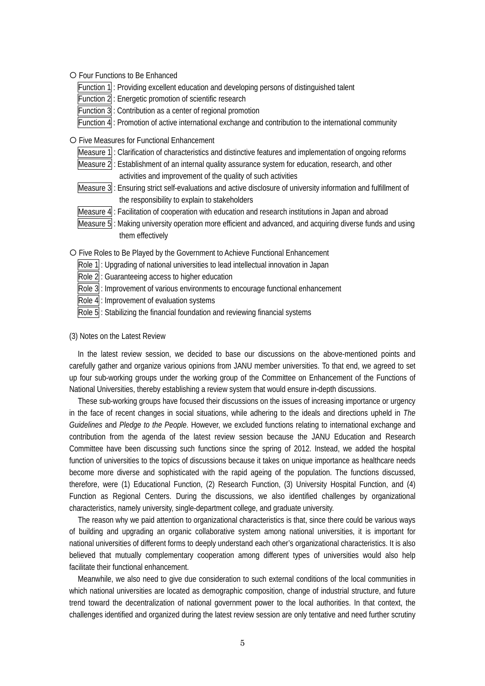{ Four Functions to Be Enhanced

Function  $1\vert$ : Providing excellent education and developing persons of distinguished talent

Function 2 : Energetic promotion of scientific research

Function 3: Contribution as a center of regional promotion

Function 4 : Promotion of active international exchange and contribution to the international community

{ Five Measures for Functional Enhancement

Measure 1: Clarification of characteristics and distinctive features and implementation of ongoing reforms

Measure 2: Establishment of an internal quality assurance system for education, research, and other activities and improvement of the quality of such activities

- Measure 3: Ensuring strict self-evaluations and active disclosure of university information and fulfillment of the responsibility to explain to stakeholders
- Measure 4. Facilitation of cooperation with education and research institutions in Japan and abroad
- Measure 5 : Making university operation more efficient and advanced, and acquiring diverse funds and using them effectively

{ Five Roles to Be Played by the Government to Achieve Functional Enhancement

- Role 1: Upgrading of national universities to lead intellectual innovation in Japan
- Role 2: Guaranteeing access to higher education
- Role 3: Improvement of various environments to encourage functional enhancement
- Role 4 : Improvement of evaluation systems
- Role  $5$ : Stabilizing the financial foundation and reviewing financial systems

#### (3) Notes on the Latest Review

In the latest review session, we decided to base our discussions on the above-mentioned points and carefully gather and organize various opinions from JANU member universities. To that end, we agreed to set up four sub-working groups under the working group of the Committee on Enhancement of the Functions of National Universities, thereby establishing a review system that would ensure in-depth discussions.

These sub-working groups have focused their discussions on the issues of increasing importance or urgency in the face of recent changes in social situations, while adhering to the ideals and directions upheld in *The Guidelines* and *Pledge to the People*. However, we excluded functions relating to international exchange and contribution from the agenda of the latest review session because the JANU Education and Research Committee have been discussing such functions since the spring of 2012. Instead, we added the hospital function of universities to the topics of discussions because it takes on unique importance as healthcare needs become more diverse and sophisticated with the rapid ageing of the population. The functions discussed, therefore, were (1) Educational Function, (2) Research Function, (3) University Hospital Function, and (4) Function as Regional Centers. During the discussions, we also identified challenges by organizational characteristics, namely university, single-department college, and graduate university.

The reason why we paid attention to organizational characteristics is that, since there could be various ways of building and upgrading an organic collaborative system among national universities, it is important for national universities of different forms to deeply understand each other's organizational characteristics. It is also believed that mutually complementary cooperation among different types of universities would also help facilitate their functional enhancement.

Meanwhile, we also need to give due consideration to such external conditions of the local communities in which national universities are located as demographic composition, change of industrial structure, and future trend toward the decentralization of national government power to the local authorities. In that context, the challenges identified and organized during the latest review session are only tentative and need further scrutiny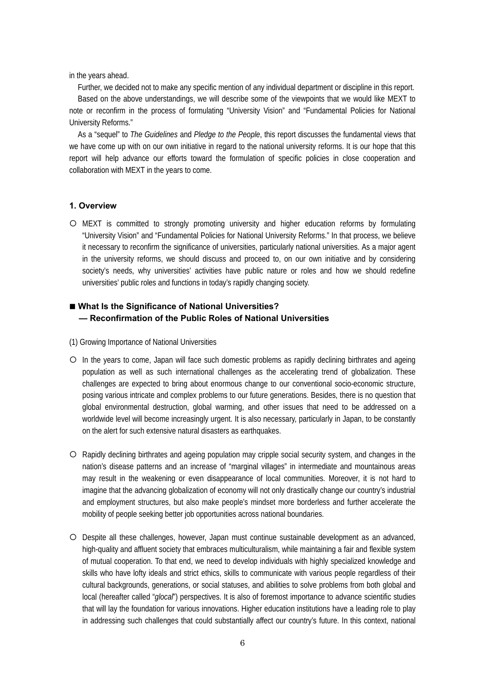in the years ahead.

Further, we decided not to make any specific mention of any individual department or discipline in this report. Based on the above understandings, we will describe some of the viewpoints that we would like MEXT to note or reconfirm in the process of formulating "University Vision" and "Fundamental Policies for National University Reforms."

As a "sequel" to *The Guidelines* and *Pledge to the People*, this report discusses the fundamental views that we have come up with on our own initiative in regard to the national university reforms. It is our hope that this report will help advance our efforts toward the formulation of specific policies in close cooperation and collaboration with MEXT in the years to come.

#### **1. Overview**

{ MEXT is committed to strongly promoting university and higher education reforms by formulating "University Vision" and "Fundamental Policies for National University Reforms." In that process, we believe it necessary to reconfirm the significance of universities, particularly national universities. As a major agent in the university reforms, we should discuss and proceed to, on our own initiative and by considering society's needs, why universities' activities have public nature or roles and how we should redefine universities' public roles and functions in today's rapidly changing society.

## ■ What Is the Significance of National Universities? **— Reconfirmation of the Public Roles of National Universities**

- (1) Growing Importance of National Universities
- { In the years to come, Japan will face such domestic problems as rapidly declining birthrates and ageing population as well as such international challenges as the accelerating trend of globalization. These challenges are expected to bring about enormous change to our conventional socio-economic structure, posing various intricate and complex problems to our future generations. Besides, there is no question that global environmental destruction, global warming, and other issues that need to be addressed on a worldwide level will become increasingly urgent. It is also necessary, particularly in Japan, to be constantly on the alert for such extensive natural disasters as earthquakes.
- { Rapidly declining birthrates and ageing population may cripple social security system, and changes in the nation's disease patterns and an increase of "marginal villages" in intermediate and mountainous areas may result in the weakening or even disappearance of local communities. Moreover, it is not hard to imagine that the advancing globalization of economy will not only drastically change our country's industrial and employment structures, but also make people's mindset more borderless and further accelerate the mobility of people seeking better job opportunities across national boundaries.
- { Despite all these challenges, however, Japan must continue sustainable development as an advanced, high-quality and affluent society that embraces multiculturalism, while maintaining a fair and flexible system of mutual cooperation. To that end, we need to develop individuals with highly specialized knowledge and skills who have lofty ideals and strict ethics, skills to communicate with various people regardless of their cultural backgrounds, generations, or social statuses, and abilities to solve problems from both global and local (hereafter called "*glocal*") perspectives. It is also of foremost importance to advance scientific studies that will lay the foundation for various innovations. Higher education institutions have a leading role to play in addressing such challenges that could substantially affect our country's future. In this context, national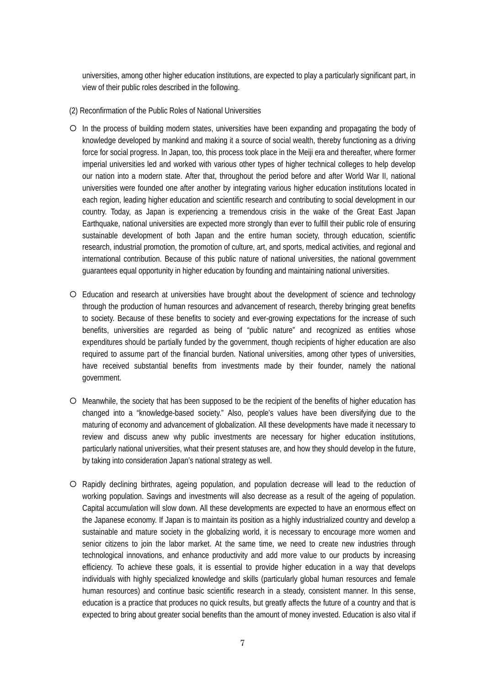universities, among other higher education institutions, are expected to play a particularly significant part, in view of their public roles described in the following.

- (2) Reconfirmation of the Public Roles of National Universities
- { In the process of building modern states, universities have been expanding and propagating the body of knowledge developed by mankind and making it a source of social wealth, thereby functioning as a driving force for social progress. In Japan, too, this process took place in the Meiji era and thereafter, where former imperial universities led and worked with various other types of higher technical colleges to help develop our nation into a modern state. After that, throughout the period before and after World War II, national universities were founded one after another by integrating various higher education institutions located in each region, leading higher education and scientific research and contributing to social development in our country. Today, as Japan is experiencing a tremendous crisis in the wake of the Great East Japan Earthquake, national universities are expected more strongly than ever to fulfill their public role of ensuring sustainable development of both Japan and the entire human society, through education, scientific research, industrial promotion, the promotion of culture, art, and sports, medical activities, and regional and international contribution. Because of this public nature of national universities, the national government guarantees equal opportunity in higher education by founding and maintaining national universities.
- { Education and research at universities have brought about the development of science and technology through the production of human resources and advancement of research, thereby bringing great benefits to society. Because of these benefits to society and ever-growing expectations for the increase of such benefits, universities are regarded as being of "public nature" and recognized as entities whose expenditures should be partially funded by the government, though recipients of higher education are also required to assume part of the financial burden. National universities, among other types of universities, have received substantial benefits from investments made by their founder, namely the national government.
- { Meanwhile, the society that has been supposed to be the recipient of the benefits of higher education has changed into a "knowledge-based society." Also, people's values have been diversifying due to the maturing of economy and advancement of globalization. All these developments have made it necessary to review and discuss anew why public investments are necessary for higher education institutions, particularly national universities, what their present statuses are, and how they should develop in the future, by taking into consideration Japan's national strategy as well.
- { Rapidly declining birthrates, ageing population, and population decrease will lead to the reduction of working population. Savings and investments will also decrease as a result of the ageing of population. Capital accumulation will slow down. All these developments are expected to have an enormous effect on the Japanese economy. If Japan is to maintain its position as a highly industrialized country and develop a sustainable and mature society in the globalizing world, it is necessary to encourage more women and senior citizens to join the labor market. At the same time, we need to create new industries through technological innovations, and enhance productivity and add more value to our products by increasing efficiency. To achieve these goals, it is essential to provide higher education in a way that develops individuals with highly specialized knowledge and skills (particularly global human resources and female human resources) and continue basic scientific research in a steady, consistent manner. In this sense, education is a practice that produces no quick results, but greatly affects the future of a country and that is expected to bring about greater social benefits than the amount of money invested. Education is also vital if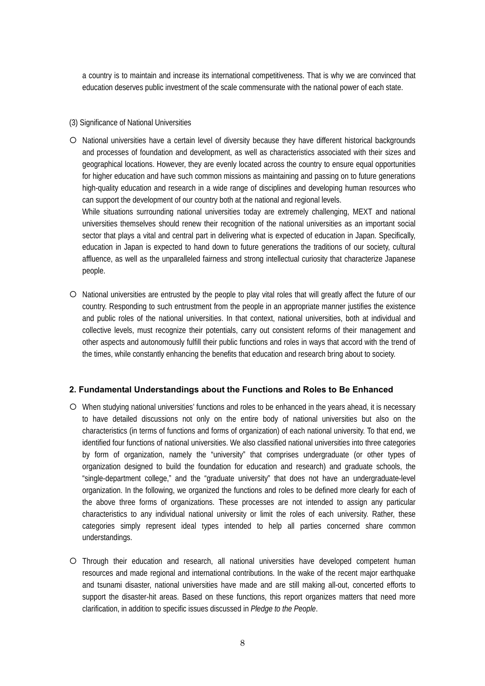a country is to maintain and increase its international competitiveness. That is why we are convinced that education deserves public investment of the scale commensurate with the national power of each state.

#### (3) Significance of National Universities

{ National universities have a certain level of diversity because they have different historical backgrounds and processes of foundation and development, as well as characteristics associated with their sizes and geographical locations. However, they are evenly located across the country to ensure equal opportunities for higher education and have such common missions as maintaining and passing on to future generations high-quality education and research in a wide range of disciplines and developing human resources who can support the development of our country both at the national and regional levels.

While situations surrounding national universities today are extremely challenging, MEXT and national universities themselves should renew their recognition of the national universities as an important social sector that plays a vital and central part in delivering what is expected of education in Japan. Specifically, education in Japan is expected to hand down to future generations the traditions of our society, cultural affluence, as well as the unparalleled fairness and strong intellectual curiosity that characterize Japanese people.

{ National universities are entrusted by the people to play vital roles that will greatly affect the future of our country. Responding to such entrustment from the people in an appropriate manner justifies the existence and public roles of the national universities. In that context, national universities, both at individual and collective levels, must recognize their potentials, carry out consistent reforms of their management and other aspects and autonomously fulfill their public functions and roles in ways that accord with the trend of the times, while constantly enhancing the benefits that education and research bring about to society.

### **2. Fundamental Understandings about the Functions and Roles to Be Enhanced**

- { When studying national universities' functions and roles to be enhanced in the years ahead, it is necessary to have detailed discussions not only on the entire body of national universities but also on the characteristics (in terms of functions and forms of organization) of each national university. To that end, we identified four functions of national universities. We also classified national universities into three categories by form of organization, namely the "university" that comprises undergraduate (or other types of organization designed to build the foundation for education and research) and graduate schools, the "single-department college," and the "graduate university" that does not have an undergraduate-level organization. In the following, we organized the functions and roles to be defined more clearly for each of the above three forms of organizations. These processes are not intended to assign any particular characteristics to any individual national university or limit the roles of each university. Rather, these categories simply represent ideal types intended to help all parties concerned share common understandings.
- { Through their education and research, all national universities have developed competent human resources and made regional and international contributions. In the wake of the recent major earthquake and tsunami disaster, national universities have made and are still making all-out, concerted efforts to support the disaster-hit areas. Based on these functions, this report organizes matters that need more clarification, in addition to specific issues discussed in *Pledge to the People*.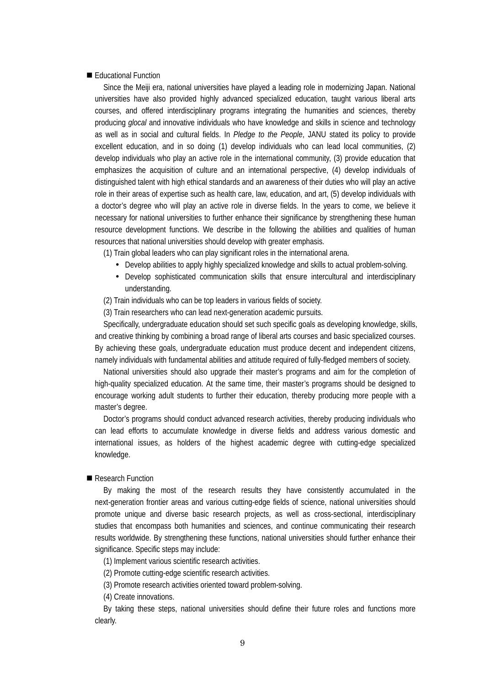#### Educational Function

Since the Meiji era, national universities have played a leading role in modernizing Japan. National universities have also provided highly advanced specialized education, taught various liberal arts courses, and offered interdisciplinary programs integrating the humanities and sciences, thereby producing *glocal* and innovative individuals who have knowledge and skills in science and technology as well as in social and cultural fields. In *Pledge to the People*, JANU stated its policy to provide excellent education, and in so doing (1) develop individuals who can lead local communities, (2) develop individuals who play an active role in the international community, (3) provide education that emphasizes the acquisition of culture and an international perspective, (4) develop individuals of distinguished talent with high ethical standards and an awareness of their duties who will play an active role in their areas of expertise such as health care, law, education, and art, (5) develop individuals with a doctor's degree who will play an active role in diverse fields. In the years to come, we believe it necessary for national universities to further enhance their significance by strengthening these human resource development functions. We describe in the following the abilities and qualities of human resources that national universities should develop with greater emphasis.

(1) Train global leaders who can play significant roles in the international arena.

- Develop abilities to apply highly specialized knowledge and skills to actual problem-solving.
- Develop sophisticated communication skills that ensure intercultural and interdisciplinary understanding.
- (2) Train individuals who can be top leaders in various fields of society.
- (3) Train researchers who can lead next-generation academic pursuits.

Specifically, undergraduate education should set such specific goals as developing knowledge, skills, and creative thinking by combining a broad range of liberal arts courses and basic specialized courses. By achieving these goals, undergraduate education must produce decent and independent citizens, namely individuals with fundamental abilities and attitude required of fully-fledged members of society.

National universities should also upgrade their master's programs and aim for the completion of high-quality specialized education. At the same time, their master's programs should be designed to encourage working adult students to further their education, thereby producing more people with a master's degree.

Doctor's programs should conduct advanced research activities, thereby producing individuals who can lead efforts to accumulate knowledge in diverse fields and address various domestic and international issues, as holders of the highest academic degree with cutting-edge specialized knowledge.

#### Research Function

By making the most of the research results they have consistently accumulated in the next-generation frontier areas and various cutting-edge fields of science, national universities should promote unique and diverse basic research projects, as well as cross-sectional, interdisciplinary studies that encompass both humanities and sciences, and continue communicating their research results worldwide. By strengthening these functions, national universities should further enhance their significance. Specific steps may include:

(1) Implement various scientific research activities.

(2) Promote cutting-edge scientific research activities.

(3) Promote research activities oriented toward problem-solving.

(4) Create innovations.

By taking these steps, national universities should define their future roles and functions more clearly.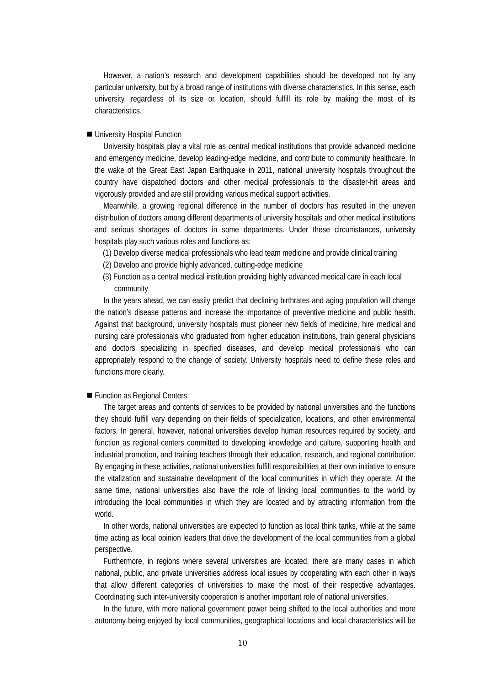However, a nation's research and development capabilities should be developed not by any particular university, but by a broad range of institutions with diverse characteristics. In this sense, each university, regardless of its size or location, should fulfill its role by making the most of its characteristics.

#### ■ University Hospital Function

University hospitals play a vital role as central medical institutions that provide advanced medicine and emergency medicine, develop leading-edge medicine, and contribute to community healthcare. In the wake of the Great East Japan Earthquake in 2011, national university hospitals throughout the country have dispatched doctors and other medical professionals to the disaster-hit areas and vigorously provided and are still providing various medical support activities.

Meanwhile, a growing regional difference in the number of doctors has resulted in the uneven distribution of doctors among different departments of university hospitals and other medical institutions and serious shortages of doctors in some departments. Under these circumstances, university hospitals play such various roles and functions as:

- (1) Develop diverse medical professionals who lead team medicine and provide clinical training
- (2) Develop and provide highly advanced, cutting-edge medicine
- (3) Function as a central medical institution providing highly advanced medical care in each local community

In the years ahead, we can easily predict that declining birthrates and aging population will change the nation's disease patterns and increase the importance of preventive medicine and public health. Against that background, university hospitals must pioneer new fields of medicine, hire medical and nursing care professionals who graduated from higher education institutions, train general physicians and doctors specializing in specified diseases, and develop medical professionals who can appropriately respond to the change of society. University hospitals need to define these roles and functions more clearly.

#### **Function as Regional Centers**

The target areas and contents of services to be provided by national universities and the functions they should fulfill vary depending on their fields of specialization, locations, and other environmental factors. In general, however, national universities develop human resources required by society, and function as regional centers committed to developing knowledge and culture, supporting health and industrial promotion, and training teachers through their education, research, and regional contribution. By engaging in these activities, national universities fulfill responsibilities at their own initiative to ensure the vitalization and sustainable development of the local communities in which they operate. At the same time, national universities also have the role of linking local communities to the world by introducing the local communities in which they are located and by attracting information from the world.

In other words, national universities are expected to function as local think tanks, while at the same time acting as local opinion leaders that drive the development of the local communities from a global perspective.

Furthermore, in regions where several universities are located, there are many cases in which national, public, and private universities address local issues by cooperating with each other in ways that allow different categories of universities to make the most of their respective advantages. Coordinating such inter-university cooperation is another important role of national universities.

In the future, with more national government power being shifted to the local authorities and more autonomy being enjoyed by local communities, geographical locations and local characteristics will be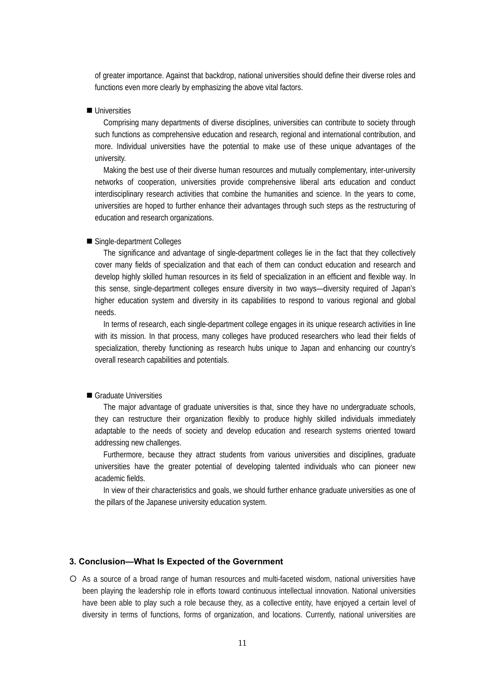of greater importance. Against that backdrop, national universities should define their diverse roles and functions even more clearly by emphasizing the above vital factors.

## **Universities**

Comprising many departments of diverse disciplines, universities can contribute to society through such functions as comprehensive education and research, regional and international contribution, and more. Individual universities have the potential to make use of these unique advantages of the university.

Making the best use of their diverse human resources and mutually complementary, inter-university networks of cooperation, universities provide comprehensive liberal arts education and conduct interdisciplinary research activities that combine the humanities and science. In the years to come, universities are hoped to further enhance their advantages through such steps as the restructuring of education and research organizations.

#### ■ Single-department Colleges

The significance and advantage of single-department colleges lie in the fact that they collectively cover many fields of specialization and that each of them can conduct education and research and develop highly skilled human resources in its field of specialization in an efficient and flexible way. In this sense, single-department colleges ensure diversity in two ways—diversity required of Japan's higher education system and diversity in its capabilities to respond to various regional and global needs.

In terms of research, each single-department college engages in its unique research activities in line with its mission. In that process, many colleges have produced researchers who lead their fields of specialization, thereby functioning as research hubs unique to Japan and enhancing our country's overall research capabilities and potentials.

#### Graduate Universities

The major advantage of graduate universities is that, since they have no undergraduate schools, they can restructure their organization flexibly to produce highly skilled individuals immediately adaptable to the needs of society and develop education and research systems oriented toward addressing new challenges.

Furthermore, because they attract students from various universities and disciplines, graduate universities have the greater potential of developing talented individuals who can pioneer new academic fields.

In view of their characteristics and goals, we should further enhance graduate universities as one of the pillars of the Japanese university education system.

## **3. Conclusion—What Is Expected of the Government**

 $\circ$  As a source of a broad range of human resources and multi-faceted wisdom, national universities have been playing the leadership role in efforts toward continuous intellectual innovation. National universities have been able to play such a role because they, as a collective entity, have enjoyed a certain level of diversity in terms of functions, forms of organization, and locations. Currently, national universities are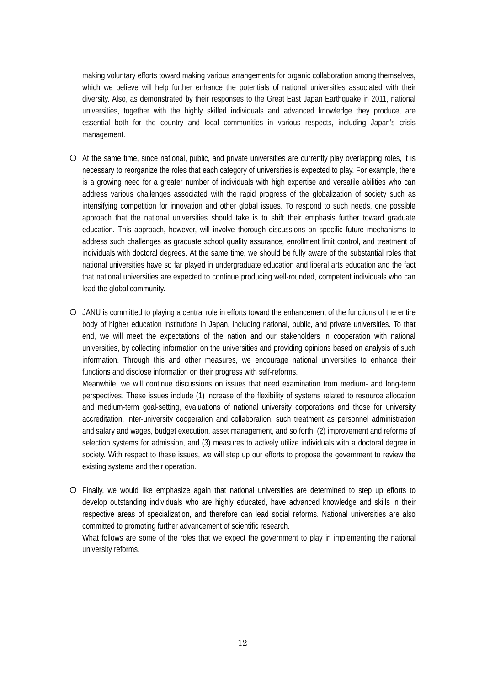making voluntary efforts toward making various arrangements for organic collaboration among themselves, which we believe will help further enhance the potentials of national universities associated with their diversity. Also, as demonstrated by their responses to the Great East Japan Earthquake in 2011, national universities, together with the highly skilled individuals and advanced knowledge they produce, are essential both for the country and local communities in various respects, including Japan's crisis management.

- { At the same time, since national, public, and private universities are currently play overlapping roles, it is necessary to reorganize the roles that each category of universities is expected to play. For example, there is a growing need for a greater number of individuals with high expertise and versatile abilities who can address various challenges associated with the rapid progress of the globalization of society such as intensifying competition for innovation and other global issues. To respond to such needs, one possible approach that the national universities should take is to shift their emphasis further toward graduate education. This approach, however, will involve thorough discussions on specific future mechanisms to address such challenges as graduate school quality assurance, enrollment limit control, and treatment of individuals with doctoral degrees. At the same time, we should be fully aware of the substantial roles that national universities have so far played in undergraduate education and liberal arts education and the fact that national universities are expected to continue producing well-rounded, competent individuals who can lead the global community.
- { JANU is committed to playing a central role in efforts toward the enhancement of the functions of the entire body of higher education institutions in Japan, including national, public, and private universities. To that end, we will meet the expectations of the nation and our stakeholders in cooperation with national universities, by collecting information on the universities and providing opinions based on analysis of such information. Through this and other measures, we encourage national universities to enhance their functions and disclose information on their progress with self-reforms.

Meanwhile, we will continue discussions on issues that need examination from medium- and long-term perspectives. These issues include (1) increase of the flexibility of systems related to resource allocation and medium-term goal-setting, evaluations of national university corporations and those for university accreditation, inter-university cooperation and collaboration, such treatment as personnel administration and salary and wages, budget execution, asset management, and so forth, (2) improvement and reforms of selection systems for admission, and (3) measures to actively utilize individuals with a doctoral degree in society. With respect to these issues, we will step up our efforts to propose the government to review the existing systems and their operation.

{ Finally, we would like emphasize again that national universities are determined to step up efforts to develop outstanding individuals who are highly educated, have advanced knowledge and skills in their respective areas of specialization, and therefore can lead social reforms. National universities are also committed to promoting further advancement of scientific research.

What follows are some of the roles that we expect the government to play in implementing the national university reforms.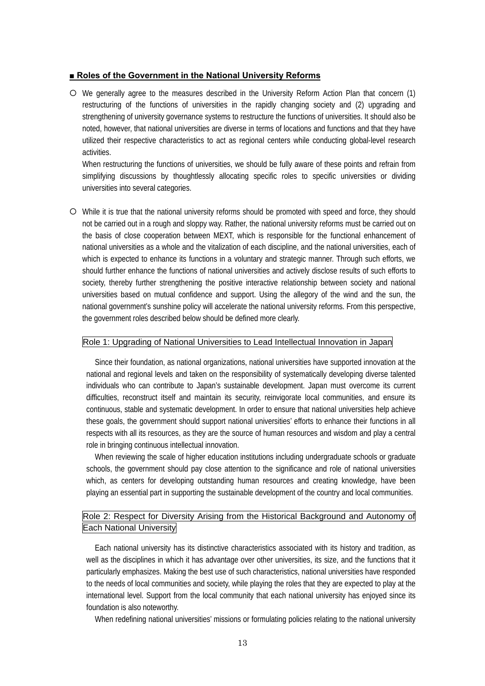#### **■ Roles of the Government in the National University Reforms**

{ We generally agree to the measures described in the University Reform Action Plan that concern (1) restructuring of the functions of universities in the rapidly changing society and (2) upgrading and strengthening of university governance systems to restructure the functions of universities. It should also be noted, however, that national universities are diverse in terms of locations and functions and that they have utilized their respective characteristics to act as regional centers while conducting global-level research activities.

When restructuring the functions of universities, we should be fully aware of these points and refrain from simplifying discussions by thoughtlessly allocating specific roles to specific universities or dividing universities into several categories.

{ While it is true that the national university reforms should be promoted with speed and force, they should not be carried out in a rough and sloppy way. Rather, the national university reforms must be carried out on the basis of close cooperation between MEXT, which is responsible for the functional enhancement of national universities as a whole and the vitalization of each discipline, and the national universities, each of which is expected to enhance its functions in a voluntary and strategic manner. Through such efforts, we should further enhance the functions of national universities and actively disclose results of such efforts to society, thereby further strengthening the positive interactive relationship between society and national universities based on mutual confidence and support. Using the allegory of the wind and the sun, the national government's sunshine policy will accelerate the national university reforms. From this perspective, the government roles described below should be defined more clearly.

#### Role 1: Upgrading of National Universities to Lead Intellectual Innovation in Japan

Since their foundation, as national organizations, national universities have supported innovation at the national and regional levels and taken on the responsibility of systematically developing diverse talented individuals who can contribute to Japan's sustainable development. Japan must overcome its current difficulties, reconstruct itself and maintain its security, reinvigorate local communities, and ensure its continuous, stable and systematic development. In order to ensure that national universities help achieve these goals, the government should support national universities' efforts to enhance their functions in all respects with all its resources, as they are the source of human resources and wisdom and play a central role in bringing continuous intellectual innovation.

When reviewing the scale of higher education institutions including undergraduate schools or graduate schools, the government should pay close attention to the significance and role of national universities which, as centers for developing outstanding human resources and creating knowledge, have been playing an essential part in supporting the sustainable development of the country and local communities.

## Role 2: Respect for Diversity Arising from the Historical Background and Autonomy of Each National University

Each national university has its distinctive characteristics associated with its history and tradition, as well as the disciplines in which it has advantage over other universities, its size, and the functions that it particularly emphasizes. Making the best use of such characteristics, national universities have responded to the needs of local communities and society, while playing the roles that they are expected to play at the international level. Support from the local community that each national university has enjoyed since its foundation is also noteworthy.

When redefining national universities' missions or formulating policies relating to the national university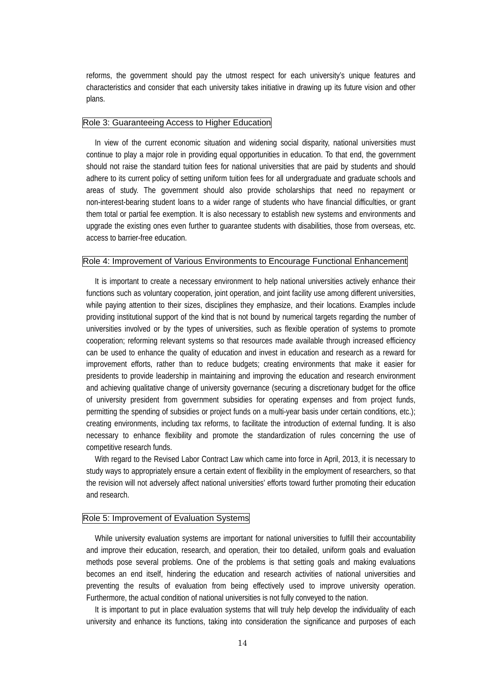reforms, the government should pay the utmost respect for each university's unique features and characteristics and consider that each university takes initiative in drawing up its future vision and other plans.

#### Role 3: Guaranteeing Access to Higher Education

In view of the current economic situation and widening social disparity, national universities must continue to play a major role in providing equal opportunities in education. To that end, the government should not raise the standard tuition fees for national universities that are paid by students and should adhere to its current policy of setting uniform tuition fees for all undergraduate and graduate schools and areas of study. The government should also provide scholarships that need no repayment or non-interest-bearing student loans to a wider range of students who have financial difficulties, or grant them total or partial fee exemption. It is also necessary to establish new systems and environments and upgrade the existing ones even further to guarantee students with disabilities, those from overseas, etc. access to barrier-free education.

#### Role 4: Improvement of Various Environments to Encourage Functional Enhancement

It is important to create a necessary environment to help national universities actively enhance their functions such as voluntary cooperation, joint operation, and joint facility use among different universities, while paying attention to their sizes, disciplines they emphasize, and their locations. Examples include providing institutional support of the kind that is not bound by numerical targets regarding the number of universities involved or by the types of universities, such as flexible operation of systems to promote cooperation; reforming relevant systems so that resources made available through increased efficiency can be used to enhance the quality of education and invest in education and research as a reward for improvement efforts, rather than to reduce budgets; creating environments that make it easier for presidents to provide leadership in maintaining and improving the education and research environment and achieving qualitative change of university governance (securing a discretionary budget for the office of university president from government subsidies for operating expenses and from project funds, permitting the spending of subsidies or project funds on a multi-year basis under certain conditions, etc.); creating environments, including tax reforms, to facilitate the introduction of external funding. It is also necessary to enhance flexibility and promote the standardization of rules concerning the use of competitive research funds.

With regard to the Revised Labor Contract Law which came into force in April, 2013, it is necessary to study ways to appropriately ensure a certain extent of flexibility in the employment of researchers, so that the revision will not adversely affect national universities' efforts toward further promoting their education and research.

#### Role 5: Improvement of Evaluation Systems

While university evaluation systems are important for national universities to fulfill their accountability and improve their education, research, and operation, their too detailed, uniform goals and evaluation methods pose several problems. One of the problems is that setting goals and making evaluations becomes an end itself, hindering the education and research activities of national universities and preventing the results of evaluation from being effectively used to improve university operation. Furthermore, the actual condition of national universities is not fully conveyed to the nation.

It is important to put in place evaluation systems that will truly help develop the individuality of each university and enhance its functions, taking into consideration the significance and purposes of each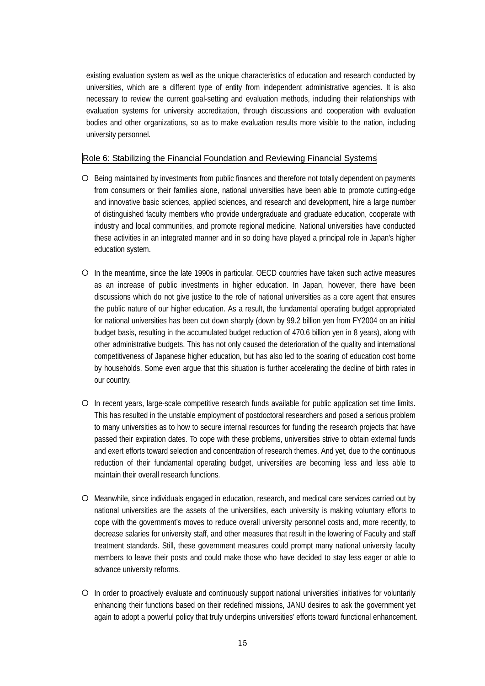existing evaluation system as well as the unique characteristics of education and research conducted by universities, which are a different type of entity from independent administrative agencies. It is also necessary to review the current goal-setting and evaluation methods, including their relationships with evaluation systems for university accreditation, through discussions and cooperation with evaluation bodies and other organizations, so as to make evaluation results more visible to the nation, including university personnel.

## Role 6: Stabilizing the Financial Foundation and Reviewing Financial Systems

- $\circ$  Being maintained by investments from public finances and therefore not totally dependent on payments from consumers or their families alone, national universities have been able to promote cutting-edge and innovative basic sciences, applied sciences, and research and development, hire a large number of distinguished faculty members who provide undergraduate and graduate education, cooperate with industry and local communities, and promote regional medicine. National universities have conducted these activities in an integrated manner and in so doing have played a principal role in Japan's higher education system.
- { In the meantime, since the late 1990s in particular, OECD countries have taken such active measures as an increase of public investments in higher education. In Japan, however, there have been discussions which do not give justice to the role of national universities as a core agent that ensures the public nature of our higher education. As a result, the fundamental operating budget appropriated for national universities has been cut down sharply (down by 99.2 billion yen from FY2004 on an initial budget basis, resulting in the accumulated budget reduction of 470.6 billion yen in 8 years), along with other administrative budgets. This has not only caused the deterioration of the quality and international competitiveness of Japanese higher education, but has also led to the soaring of education cost borne by households. Some even argue that this situation is further accelerating the decline of birth rates in our country.
- ${\bigcirc}$  In recent years, large-scale competitive research funds available for public application set time limits. This has resulted in the unstable employment of postdoctoral researchers and posed a serious problem to many universities as to how to secure internal resources for funding the research projects that have passed their expiration dates. To cope with these problems, universities strive to obtain external funds and exert efforts toward selection and concentration of research themes. And yet, due to the continuous reduction of their fundamental operating budget, universities are becoming less and less able to maintain their overall research functions.
- { Meanwhile, since individuals engaged in education, research, and medical care services carried out by national universities are the assets of the universities, each university is making voluntary efforts to cope with the government's moves to reduce overall university personnel costs and, more recently, to decrease salaries for university staff, and other measures that result in the lowering of Faculty and staff treatment standards. Still, these government measures could prompt many national university faculty members to leave their posts and could make those who have decided to stay less eager or able to advance university reforms.
- { In order to proactively evaluate and continuously support national universities' initiatives for voluntarily enhancing their functions based on their redefined missions, JANU desires to ask the government yet again to adopt a powerful policy that truly underpins universities' efforts toward functional enhancement.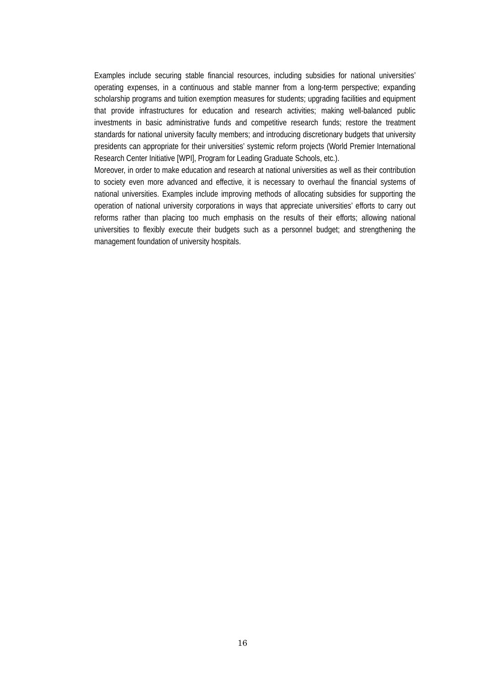Examples include securing stable financial resources, including subsidies for national universities' operating expenses, in a continuous and stable manner from a long-term perspective; expanding scholarship programs and tuition exemption measures for students; upgrading facilities and equipment that provide infrastructures for education and research activities; making well-balanced public investments in basic administrative funds and competitive research funds; restore the treatment standards for national university faculty members; and introducing discretionary budgets that university presidents can appropriate for their universities' systemic reform projects (World Premier International Research Center Initiative [WPI], Program for Leading Graduate Schools, etc.).

Moreover, in order to make education and research at national universities as well as their contribution to society even more advanced and effective, it is necessary to overhaul the financial systems of national universities. Examples include improving methods of allocating subsidies for supporting the operation of national university corporations in ways that appreciate universities' efforts to carry out reforms rather than placing too much emphasis on the results of their efforts; allowing national universities to flexibly execute their budgets such as a personnel budget; and strengthening the management foundation of university hospitals.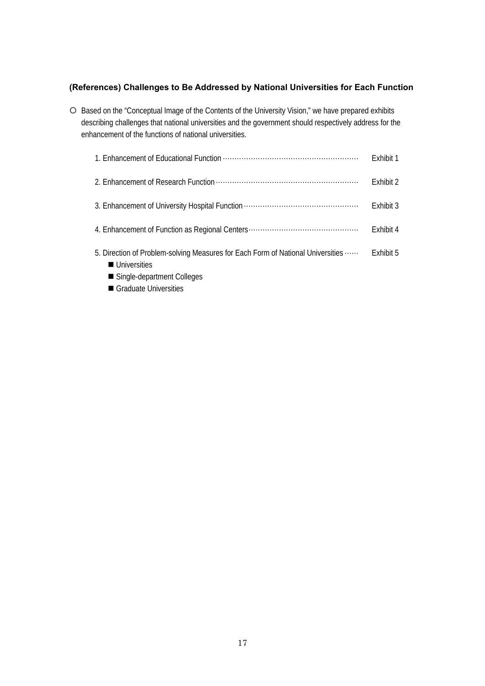## **(References) Challenges to Be Addressed by National Universities for Each Function**

{ Based on the "Conceptual Image of the Contents of the University Vision," we have prepared exhibits describing challenges that national universities and the government should respectively address for the enhancement of the functions of national universities.

|                                                                                                                                                                                 | Exhibit 1 |
|---------------------------------------------------------------------------------------------------------------------------------------------------------------------------------|-----------|
|                                                                                                                                                                                 | Exhibit 2 |
|                                                                                                                                                                                 | Exhibit 3 |
|                                                                                                                                                                                 | Exhibit 4 |
| 5. Direction of Problem-solving Measures for Each Form of National Universities<br><b>Universities</b><br>■ Single-department Colleges<br>$\blacksquare$ Crosbucts Universities | Fxhibit 5 |

Graduate Universities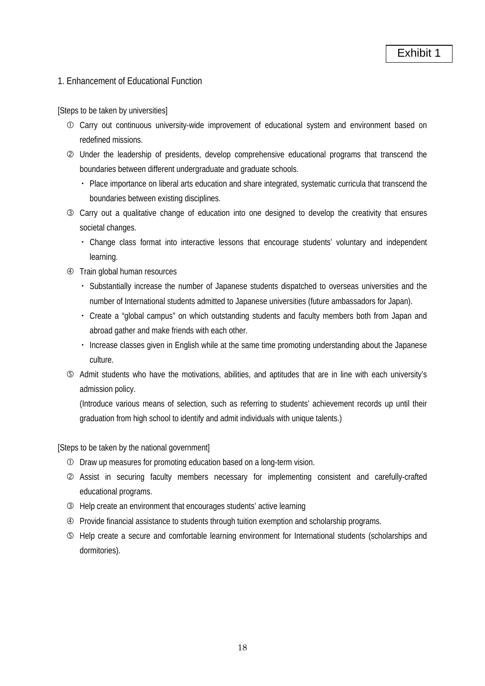# 1. Enhancement of Educational Function

[Steps to be taken by universities]

- c Carry out continuous university-wide improvement of educational system and environment based on redefined missions.
- d Under the leadership of presidents, develop comprehensive educational programs that transcend the boundaries between different undergraduate and graduate schools.
	- ・ Place importance on liberal arts education and share integrated, systematic curricula that transcend the boundaries between existing disciplines.
- e Carry out a qualitative change of education into one designed to develop the creativity that ensures societal changes.
	- ・ Change class format into interactive lessons that encourage students' voluntary and independent learning.
- **4** Train global human resources
	- ・ Substantially increase the number of Japanese students dispatched to overseas universities and the number of International students admitted to Japanese universities (future ambassadors for Japan).
	- ・ Create a "global campus" on which outstanding students and faculty members both from Japan and abroad gather and make friends with each other.
	- ・ Increase classes given in English while at the same time promoting understanding about the Japanese culture.
- g Admit students who have the motivations, abilities, and aptitudes that are in line with each university's admission policy.

(Introduce various means of selection, such as referring to students' achievement records up until their graduation from high school to identify and admit individuals with unique talents.)

- c Draw up measures for promoting education based on a long-term vision.
- d Assist in securing faculty members necessary for implementing consistent and carefully-crafted educational programs.
- e Help create an environment that encourages students' active learning
- f Provide financial assistance to students through tuition exemption and scholarship programs.
- g Help create a secure and comfortable learning environment for International students (scholarships and dormitories).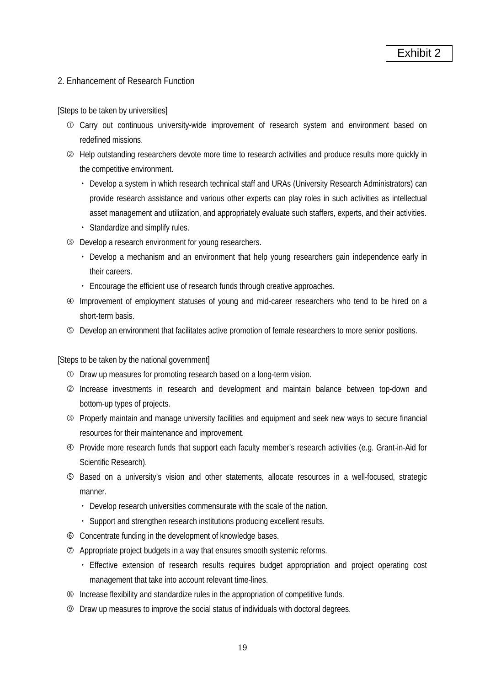# 2. Enhancement of Research Function

[Steps to be taken by universities]

- c Carry out continuous university-wide improvement of research system and environment based on redefined missions.
- d Help outstanding researchers devote more time to research activities and produce results more quickly in the competitive environment.
	- ・ Develop a system in which research technical staff and URAs (University Research Administrators) can provide research assistance and various other experts can play roles in such activities as intellectual asset management and utilization, and appropriately evaluate such staffers, experts, and their activities.
	- ・ Standardize and simplify rules.
- **EXECUTE:** Develop a research environment for young researchers.
	- ・ Develop a mechanism and an environment that help young researchers gain independence early in their careers.
	- ・ Encourage the efficient use of research funds through creative approaches.
- f Improvement of employment statuses of young and mid-career researchers who tend to be hired on a short-term basis.
- g Develop an environment that facilitates active promotion of female researchers to more senior positions.

- c Draw up measures for promoting research based on a long-term vision.
- d Increase investments in research and development and maintain balance between top-down and bottom-up types of projects.
- e Properly maintain and manage university facilities and equipment and seek new ways to secure financial resources for their maintenance and improvement.
- f Provide more research funds that support each faculty member's research activities (e.g. Grant-in-Aid for Scientific Research).
- g Based on a university's vision and other statements, allocate resources in a well-focused, strategic manner.
	- ・ Develop research universities commensurate with the scale of the nation.
	- ・ Support and strengthen research institutions producing excellent results.
- h Concentrate funding in the development of knowledge bases.
- $\oslash$  Appropriate project budgets in a way that ensures smooth systemic reforms.
	- ・ Effective extension of research results requires budget appropriation and project operating cost management that take into account relevant time-lines.
- $\circledR$  Increase flexibility and standardize rules in the appropriation of competitive funds.
- **Example 2** Draw up measures to improve the social status of individuals with doctoral degrees.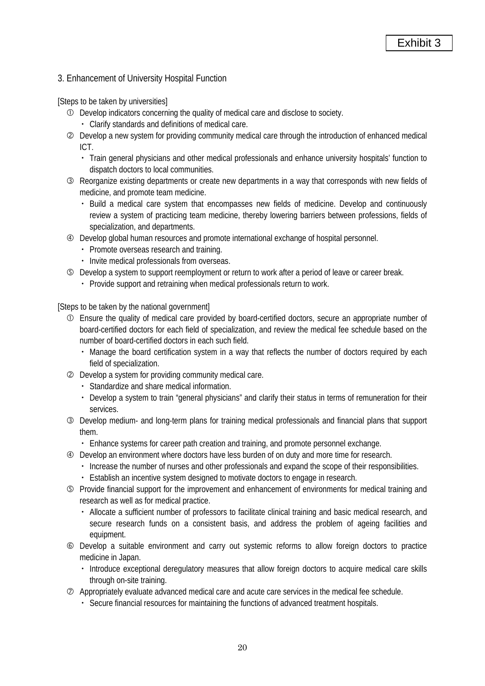# 3. Enhancement of University Hospital Function

[Steps to be taken by universities]

- c Develop indicators concerning the quality of medical care and disclose to society.
	- ・ Clarify standards and definitions of medical care.
- d Develop a new system for providing community medical care through the introduction of enhanced medical ICT.
	- ・ Train general physicians and other medical professionals and enhance university hospitals' function to dispatch doctors to local communities.
- e Reorganize existing departments or create new departments in a way that corresponds with new fields of medicine, and promote team medicine.
	- ・ Build a medical care system that encompasses new fields of medicine. Develop and continuously review a system of practicing team medicine, thereby lowering barriers between professions, fields of specialization, and departments.
- f Develop global human resources and promote international exchange of hospital personnel.
	- ・ Promote overseas research and training.
	- ・ Invite medical professionals from overseas.
- g Develop a system to support reemployment or return to work after a period of leave or career break.
	- ・ Provide support and retraining when medical professionals return to work.

- c Ensure the quality of medical care provided by board-certified doctors, secure an appropriate number of board-certified doctors for each field of specialization, and review the medical fee schedule based on the number of board-certified doctors in each such field.
	- ・ Manage the board certification system in a way that reflects the number of doctors required by each field of specialization.
- d Develop a system for providing community medical care.
	- ・ Standardize and share medical information.
	- Develop a system to train "general physicians" and clarify their status in terms of remuneration for their services.
- e Develop medium- and long-term plans for training medical professionals and financial plans that support them.
	- ・ Enhance systems for career path creation and training, and promote personnel exchange.
- $\circledA$  Develop an environment where doctors have less burden of on duty and more time for research.
	- ・ Increase the number of nurses and other professionals and expand the scope of their responsibilities.
	- ・ Establish an incentive system designed to motivate doctors to engage in research.
- g Provide financial support for the improvement and enhancement of environments for medical training and research as well as for medical practice.
	- ・ Allocate a sufficient number of professors to facilitate clinical training and basic medical research, and secure research funds on a consistent basis, and address the problem of ageing facilities and equipment.
- h Develop a suitable environment and carry out systemic reforms to allow foreign doctors to practice medicine in Japan.
	- ・ Introduce exceptional deregulatory measures that allow foreign doctors to acquire medical care skills through on-site training.
- $\oslash$  Appropriately evaluate advanced medical care and acute care services in the medical fee schedule.
	- ・ Secure financial resources for maintaining the functions of advanced treatment hospitals.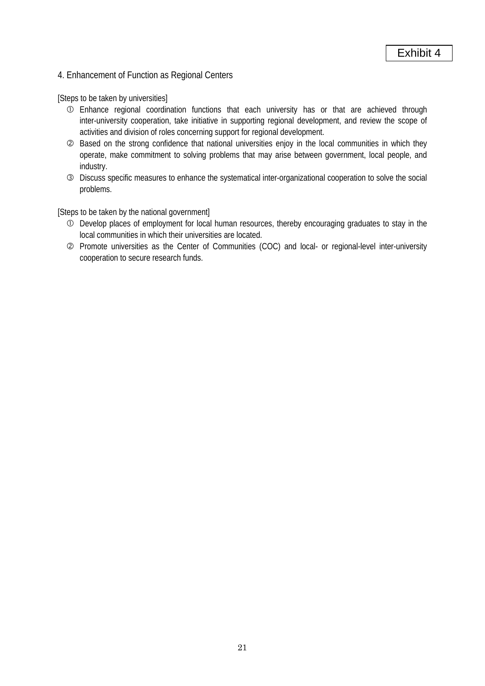# 4. Enhancement of Function as Regional Centers

[Steps to be taken by universities]

- c Enhance regional coordination functions that each university has or that are achieved through inter-university cooperation, take initiative in supporting regional development, and review the scope of activities and division of roles concerning support for regional development.
- d Based on the strong confidence that national universities enjoy in the local communities in which they operate, make commitment to solving problems that may arise between government, local people, and industry.
- e Discuss specific measures to enhance the systematical inter-organizational cooperation to solve the social problems.

- c Develop places of employment for local human resources, thereby encouraging graduates to stay in the local communities in which their universities are located.
- d Promote universities as the Center of Communities (COC) and local- or regional-level inter-university cooperation to secure research funds.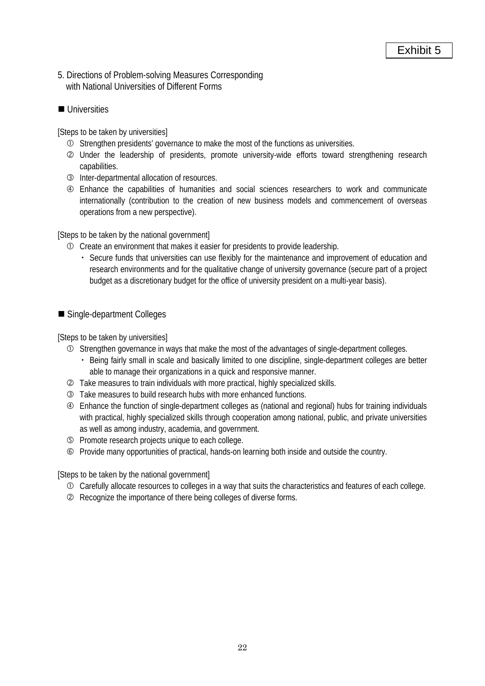- 5. Directions of Problem-solving Measures Corresponding with National Universities of Different Forms
- **Universities**

[Steps to be taken by universities]

- c Strengthen presidents' governance to make the most of the functions as universities.
- d Under the leadership of presidents, promote university-wide efforts toward strengthening research capabilities.
- **3** Inter-departmental allocation of resources.
- f Enhance the capabilities of humanities and social sciences researchers to work and communicate internationally (contribution to the creation of new business models and commencement of overseas operations from a new perspective).

[Steps to be taken by the national government]

- c Create an environment that makes it easier for presidents to provide leadership.
	- ・ Secure funds that universities can use flexibly for the maintenance and improvement of education and research environments and for the qualitative change of university governance (secure part of a project budget as a discretionary budget for the office of university president on a multi-year basis).

■ Single-department Colleges

[Steps to be taken by universities]

- c Strengthen governance in ways that make the most of the advantages of single-department colleges.
	- ・ Being fairly small in scale and basically limited to one discipline, single-department colleges are better able to manage their organizations in a quick and responsive manner.
- d Take measures to train individuals with more practical, highly specialized skills.
- **EXECUTE:** Take measures to build research hubs with more enhanced functions.
- f Enhance the function of single-department colleges as (national and regional) hubs for training individuals with practical, highly specialized skills through cooperation among national, public, and private universities as well as among industry, academia, and government.
- g Promote research projects unique to each college.
- h Provide many opportunities of practical, hands-on learning both inside and outside the country.

- c Carefully allocate resources to colleges in a way that suits the characteristics and features of each college.
- d Recognize the importance of there being colleges of diverse forms.